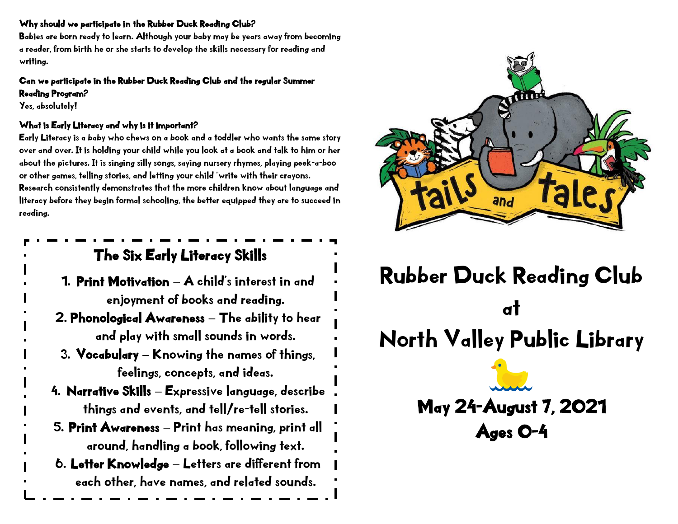### Why should we participate in the Rubber Duck Reading Club?

Babies are born ready to learn. Although your baby may be years away from becoming a reader, from birth he or she starts to develop the skills necessary for reading and writing.

#### Can we participate in the Rubber Duck Reading Club and the regular Summer Reading Program?

Yes, absolutely!

## What is Early Literacy and why is it important?

Early Literacy is a baby who chews on a book and a toddler who wants the same story over and over. It is holding your child while you look at a book and talk to him or her about the pictures. It is singing silly songs, saying nursery rhymes, playing peek-a-boo or other games, telling stories, and letting your child "write with their crayons. Research consistently demonstrates that the more children know about language and literacy before they begin formal schooling, the better equipped they are to succeed in reading.

## The Six Early Literacy Skills

- 1. Print Motivation A child's interest in and enjoyment of books and reading.
- 2. Phonological Awareness The ability to hear and play with small sounds in words.
- 3. Vocabulary Knowing the names of things, feelings, concepts, and ideas.
- 4. Narrative Skills Expressive language, describe things and events, and tell/re-tell stories.
- 5. Print Awareness Print has meaning, print all around, handling a book, following text.
- 6. Letter Knowledge Letters are different from each other, have names, and related sounds.



# Rubber Duck Reading Club at North Valley Public Library May 24-August 7, 2021

Ages 0-4